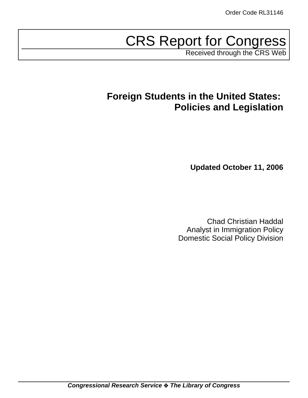# CRS Report for Congress

Received through the CRS Web

# **Foreign Students in the United States: Policies and Legislation**

**Updated October 11, 2006**

Chad Christian Haddal Analyst in Immigration Policy Domestic Social Policy Division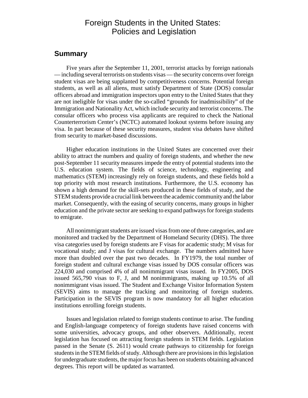# Foreign Students in the United States: Policies and Legislation

#### **Summary**

Five years after the September 11, 2001, terrorist attacks by foreign nationals — including several terrorists on students visas — the security concerns over foreign student visas are being supplanted by competitiveness concerns. Potential foreign students, as well as all aliens, must satisfy Department of State (DOS) consular officers abroad and immigration inspectors upon entry to the United States that they are not ineligible for visas under the so-called "grounds for inadmissibility" of the Immigration and Nationality Act, which include security and terrorist concerns. The consular officers who process visa applicants are required to check the National Counterterrorism Center's (NCTC) automated lookout systems before issuing any visa. In part because of these security measures, student visa debates have shifted from security to market-based discussions.

Higher education institutions in the United States are concerned over their ability to attract the numbers and quality of foreign students, and whether the new post-September 11 security measures impede the entry of potential students into the U.S. education system. The fields of science, technology, engineering and mathematics (STEM) increasingly rely on foreign students, and these fields hold a top priority with most research institutions. Furthermore, the U.S. economy has shown a high demand for the skill-sets produced in these fields of study, and the STEM students provide a crucial link between the academic community and the labor market. Consequently, with the easing of security concerns, many groups in higher education and the private sector are seeking to expand pathways for foreign students to emigrate.

All nonimmigrant students are issued visas from one of three categories, and are monitored and tracked by the Department of Homeland Security (DHS). The three visa categories used by foreign students are F visas for academic study; M visas for vocational study; and J visas for cultural exchange. The numbers admitted have more than doubled over the past two decades. In FY1979, the total number of foreign student and cultural exchange visas issued by DOS consular officers was 224,030 and comprised 4% of all nonimmigrant visas issued. In FY2005, DOS issued 565,790 visas to F, J, and M nonimmigrants, making up 10.5% of all nonimmigrant visas issued. The Student and Exchange Visitor Information System (SEVIS) aims to manage the tracking and monitoring of foreign students. Participation in the SEVIS program is now mandatory for all higher education institutions enrolling foreign students.

Issues and legislation related to foreign students continue to arise. The funding and English-language competency of foreign students have raised concerns with some universities, advocacy groups, and other observers. Additionally, recent legislation has focused on attracting foreign students in STEM fields. Legislation passed in the Senate (S. 2611) would create pathways to citizenship for foreign students in the STEM fields of study. Although there are provisions in this legislation for undergraduate students, the major focus has been on students obtaining advanced degrees. This report will be updated as warranted.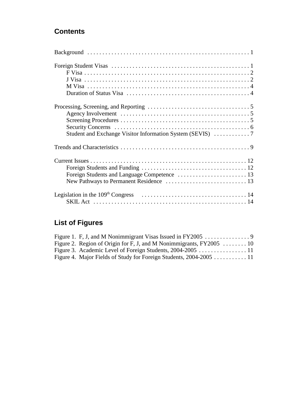# **Contents**

# **List of Figures**

| Figure 2. Region of Origin for F, J, and M Nonimmigrants, $FY2005$ 10 |  |
|-----------------------------------------------------------------------|--|
|                                                                       |  |
| Figure 4. Major Fields of Study for Foreign Students, 2004-2005  11   |  |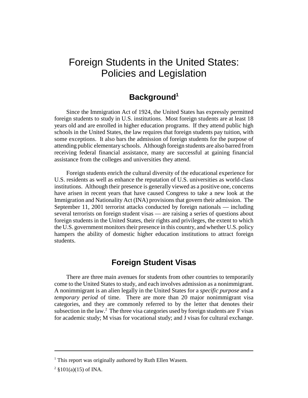# Foreign Students in the United States: Policies and Legislation

# **Background1**

Since the Immigration Act of 1924, the United States has expressly permitted foreign students to study in U.S. institutions. Most foreign students are at least 18 years old and are enrolled in higher education programs. If they attend public high schools in the United States, the law requires that foreign students pay tuition, with some exceptions. It also bars the admission of foreign students for the purpose of attending public elementary schools. Although foreign students are also barred from receiving federal financial assistance, many are successful at gaining financial assistance from the colleges and universities they attend.

Foreign students enrich the cultural diversity of the educational experience for U.S. residents as well as enhance the reputation of U.S. universities as world-class institutions. Although their presence is generally viewed as a positive one, concerns have arisen in recent years that have caused Congress to take a new look at the Immigration and Nationality Act (INA) provisions that govern their admission. The September 11, 2001 terrorist attacks conducted by foreign nationals — including several terrorists on foreign student visas — are raising a series of questions about foreign students in the United States, their rights and privileges, the extent to which the U.S. government monitors their presence in this country, and whether U.S. policy hampers the ability of domestic higher education institutions to attract foreign students.

# **Foreign Student Visas**

There are three main avenues for students from other countries to temporarily come to the United States to study, and each involves admission as a nonimmigrant. A nonimmigrant is an alien legally in the United States for a *specific purpose* and a *temporary period* of time. There are more than 20 major nonimmigrant visa categories, and they are commonly referred to by the letter that denotes their subsection in the law.<sup>2</sup> The three visa categories used by foreign students are  $F$  visas for academic study; M visas for vocational study; and J visas for cultural exchange.

<sup>&</sup>lt;sup>1</sup> This report was originally authored by Ruth Ellen Wasem.

 $2 \text{ } $101(a)(15) \text{ of INA}.$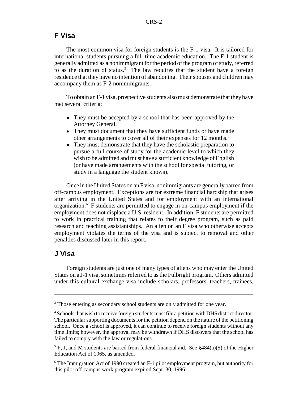#### **F Visa**

The most common visa for foreign students is the F-1 visa. It is tailored for international students pursuing a full-time academic education. The F-1 student is generally admitted as a nonimmigrant for the period of the program of study, referred to as the duration of status.<sup>3</sup> The law requires that the student have a foreign residence that they have no intention of abandoning. Their spouses and children may accompany them as F-2 nonimmigrants.

To obtain an F-1 visa, prospective students also must demonstrate that they have met several criteria:

- They must be accepted by a school that has been approved by the Attorney General.<sup>4</sup>
- They must document that they have sufficient funds or have made other arrangements to cover all of their expenses for 12 months.<sup>5</sup>
- They must demonstrate that they have the scholastic preparation to pursue a full course of study for the academic level to which they wish to be admitted and must have a sufficient knowledge of English (or have made arrangements with the school for special tutoring, or study in a language the student knows).

Once in the United States on an F visa, nonimmigrants are generally barred from off-campus employment. Exceptions are for extreme financial hardship that arises after arriving in the United States and for employment with an international organization.<sup>6</sup> F students are permitted to engage in on-campus employment if the employment does not displace a U.S. resident. In addition, F students are permitted to work in practical training that relates to their degree program, such as paid research and teaching assistantships. An alien on an F visa who otherwise accepts employment violates the terms of the visa and is subject to removal and other penalties discussed later in this report.

#### **J Visa**

Foreign students are just one of many types of aliens who may enter the United States on a J-1 visa, sometimes referred to as the Fulbright program. Others admitted under this cultural exchange visa include scholars, professors, teachers, trainees,

<sup>&</sup>lt;sup>3</sup> Those entering as secondary school students are only admitted for one year.

<sup>&</sup>lt;sup>4</sup> Schools that wish to receive foreign students must file a petition with DHS district director. The particular supporting documents for the petition depend on the nature of the petitioning school. Once a school is approved, it can continue to receive foreign students without any time limits; however, the approval may be withdrawn if DHS discovers that the school has failed to comply with the law or regulations.

<sup>&</sup>lt;sup>5</sup> F, J, and M students are barred from federal financial aid. See  $§484(a)(5)$  of the Higher Education Act of 1965, as amended.

<sup>&</sup>lt;sup>6</sup> The Immigration Act of 1990 created an F-1 pilot employment program, but authority for this pilot off-campus work program expired Sept. 30, 1996.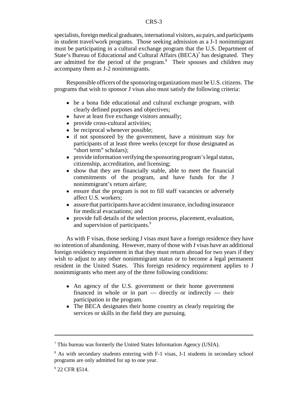specialists, foreign medical graduates, international visitors, au pairs, and participants in student travel/work programs. Those seeking admission as a J-1 nonimmigrant must be participating in a cultural exchange program that the U.S. Department of State's Bureau of Educational and Cultural Affairs (BECA)<sup>7</sup> has designated. They are admitted for the period of the program.<sup>8</sup> Their spouses and children may accompany them as J-2 nonimmigrants.

Responsible officers of the sponsoring organizations must be U.S. citizens. The programs that wish to sponsor J visas also must satisfy the following criteria:

- be a bona fide educational and cultural exchange program, with clearly defined purposes and objectives;
- have at least five exchange visitors annually;
- provide cross-cultural activities;
- be reciprocal whenever possible;
- if not sponsored by the government, have a minimum stay for participants of at least three weeks (except for those designated as "short term" scholars);
- provide information verifying the sponsoring program's legal status, citizenship, accreditation, and licensing;
- show that they are financially stable, able to meet the financial commitments of the program, and have funds for the J nonimmigrant's return airfare;
- ensure that the program is not to fill staff vacancies or adversely affect U.S. workers;
- assure that participants have accident insurance, including insurance for medical evacuations; and
- provide full details of the selection process, placement, evaluation, and supervision of participants.<sup>9</sup>

As with F visas, those seeking J visas must have a foreign residence they have no intention of abandoning. However, many of those with J visas have an additional foreign residency requirement in that they must return abroad for two years if they wish to adjust to any other nonimmigrant status or to become a legal permanent resident in the United States. This foreign residency requirement applies to J nonimmigrants who meet any of the three following conditions:

- An agency of the U.S. government or their home government financed in whole or in part — directly or indirectly — their participation in the program.
- The BECA designates their home country as clearly requiring the services or skills in the field they are pursuing.

<sup>&</sup>lt;sup>7</sup> This bureau was formerly the United States Information Agency (USIA).

<sup>&</sup>lt;sup>8</sup> As with secondary students entering with F-1 visas, J-1 students in secondary school programs are only admitted for up to one year.

<sup>9</sup> 22 CFR §514.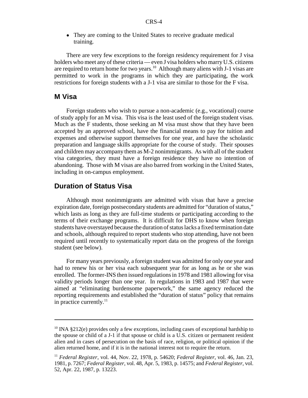• They are coming to the United States to receive graduate medical training.

There are very few exceptions to the foreign residency requirement for J visa holders who meet any of these criteria — even J visa holders who marry U.S. citizens are required to return home for two years.<sup>10</sup> Although many aliens with J-1 visas are permitted to work in the programs in which they are participating, the work restrictions for foreign students with a J-1 visa are similar to those for the F visa.

#### **M Visa**

Foreign students who wish to pursue a non-academic (e.g., vocational) course of study apply for an M visa. This visa is the least used of the foreign student visas. Much as the F students, those seeking an M visa must show that they have been accepted by an approved school, have the financial means to pay for tuition and expenses and otherwise support themselves for one year, and have the scholastic preparation and language skills appropriate for the course of study. Their spouses and children may accompany them as M-2 nonimmigrants. As with all of the student visa categories, they must have a foreign residence they have no intention of abandoning. Those with M visas are also barred from working in the United States, including in on-campus employment.

#### **Duration of Status Visa**

Although most nonimmigrants are admitted with visas that have a precise expiration date, foreign postsecondary students are admitted for "duration of status," which lasts as long as they are full-time students or participating according to the terms of their exchange programs. It is difficult for DHS to know when foreign students have overstayed because the duration of status lacks a fixed termination date and schools, although required to report students who stop attending, have not been required until recently to systematically report data on the progress of the foreign student (see below).

For many years previously, a foreign student was admitted for only one year and had to renew his or her visa each subsequent year for as long as he or she was enrolled. The former-INS then issued regulations in 1978 and 1981 allowing for visa validity periods longer than one year. In regulations in 1983 and 1987 that were aimed at "eliminating burdensome paperwork," the same agency reduced the reporting requirements and established the "duration of status" policy that remains in practice currently. $^{11}$ 

<sup>&</sup>lt;sup>10</sup> INA §212(e) provides only a few exceptions, including cases of exceptional hardship to the spouse or child of a J-1 if that spouse or child is a U.S. citizen or permanent resident alien and in cases of persecution on the basis of race, religion, or political opinion if the alien returned home, and if it is in the national interest not to require the return.

<sup>11</sup> *Federal Register*, vol. 44, Nov. 22, 1978, p. 54620; *Federal Register*, vol. 46, Jan. 23, 1981, p. 7267; *Federal Register*, vol. 48, Apr. 5, 1983, p. 14575; and *Federal Register*, vol. 52, Apr. 22, 1987, p. 13223.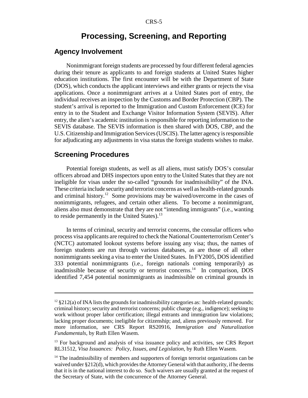### **Processing, Screening, and Reporting**

### **Agency Involvement**

Nonimmigrant foreign students are processed by four different federal agencies during their tenure as applicants to and foreign students at United States higher education institutions. The first encounter will be with the Department of State (DOS), which conducts the applicant interviews and either grants or rejects the visa applications. Once a nonimmigrant arrives at a United States port of entry, the individual receives an inspection by the Customs and Border Protection (CBP). The student's arrival is reported to the Immigration and Custom Enforcement (ICE) for entry in to the Student and Exchange Visitor Information System (SEVIS). After entry, the alien's academic institution is responsible for reporting information to the SEVIS database. The SEVIS information is then shared with DOS, CBP, and the U.S. Citizenship and Immigration Services (USCIS). The latter agency is responsible for adjudicating any adjustments in visa status the foreign students wishes to make.

#### **Screening Procedures**

Potential foreign students, as well as all aliens, must satisfy DOS's consular officers abroad and DHS inspectors upon entry to the United States that they are not ineligible for visas under the so-called "grounds for inadmissibility" of the INA. These criteria include security and terrorist concerns as well as health-related grounds and criminal history.<sup>12</sup> Some provisions may be waived/overcome in the cases of nonimmigrants, refugees, and certain other aliens. To become a nonimmigrant, aliens also must demonstrate that they are not "intending immigrants" (i.e., wanting to reside permanently in the United States).<sup>13</sup>

In terms of criminal, security and terrorist concerns, the consular officers who process visa applicants are required to check the National Counterterrorism Center's (NCTC) automated lookout systems before issuing any visa; thus, the names of foreign students are run through various databases, as are those of all other nonimmigrants seeking a visa to enter the United States. In FY2005, DOS identified 333 potential nonimmigrants (i.e., foreign nationals coming temporarily) as inadmissible because of security or terrorist concerns.14 In comparison, DOS identified 7,454 potential nonimmigrants as inadmissible on criminal grounds in

 $12$  §212(a) of INA lists the grounds for inadmissibility categories as: health-related grounds; criminal history; security and terrorist concerns; public charge (e.g., indigence); seeking to work without proper labor certification; illegal entrants and immigration law violations; lacking proper documents; ineligible for citizenship; and, aliens previously removed. For more information, see CRS Report RS20916, *Immigration and Naturalization Fundamentals*, by Ruth Ellen Wasem.

<sup>&</sup>lt;sup>13</sup> For background and analysis of visa issuance policy and activities, see CRS Report RL31512, *Visa Issuances: Policy, Issues, and Legislation*, by Ruth Ellen Wasem.

 $14$  The inadmissibility of members and supporters of foreign terrorist organizations can be waived under §212(d), which provides the Attorney General with that authority, if he deems that it is in the national interest to do so. Such waivers are usually granted at the request of the Secretary of State, with the concurrence of the Attorney General.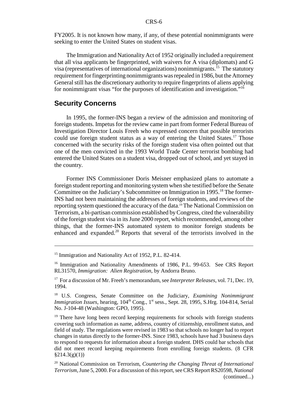FY2005. It is not known how many, if any, of these potential nonimmigrants were seeking to enter the United States on student visas.

The Immigration and Nationality Act of 1952 originally included a requirement that all visa applicants be fingerprinted, with waivers for A visa (diplomats) and G visa (representatives of international organizations) nonimmigrants.<sup>15</sup> The statutory requirement for fingerprinting nonimmigrants was repealed in 1986, but the Attorney General still has the discretionary authority to require fingerprints of aliens applying for nonimmigrant visas "for the purposes of identification and investigation."16

#### **Security Concerns**

In 1995, the former-INS began a review of the admission and monitoring of foreign students. Impetus for the review came in part from former Federal Bureau of Investigation Director Louis Freeh who expressed concern that possible terrorists could use foreign student status as a way of entering the United States.<sup>17</sup> Those concerned with the security risks of the foreign student visa often pointed out that one of the men convicted in the 1993 World Trade Center terrorist bombing had entered the United States on a student visa, dropped out of school, and yet stayed in the country.

Former INS Commissioner Doris Meisner emphasized plans to automate a foreign student reporting and monitoring system when she testified before the Senate Committee on the Judiciary's Subcommittee on Immigration in 1995.<sup>18</sup> The former-INS had not been maintaining the addresses of foreign students, and reviews of the reporting system questioned the accuracy of the data. 19The National Commission on Terrorism, a bi-partisan commission established by Congress, cited the vulnerability of the foreign student visa in its June 2000 report, which recommended, among other things, that the former-INS automated system to monitor foreign students be enhanced and expanded.<sup>20</sup> Reports that several of the terrorists involved in the

 $19$  There have long been record keeping requirements for schools with foreign students covering such information as name, address, country of citizenship, enrollment status, and field of study. The regulations were revised in 1983 so that schools no longer had to report changes in status directly to the former-INS. Since 1983, schools have had 3 business days to respond to requests for information about a foreign student. DHS could bar schools that did not meet record keeping requirements from enrolling foreign students. (8 CFR  $§214.3(g)(1))$ 

20 National Commission on Terrorism, *Countering the Changing Threat of International Terrorism*, June 5, 2000. For a discussion of this report, see CRS Report RS20598, *National* (continued...)

<sup>&</sup>lt;sup>15</sup> Immigration and Nationality Act of 1952, P.L. 82-414.

<sup>&</sup>lt;sup>16</sup> Immigration and Nationality Amendments of 1986, P.L. 99-653. See CRS Report RL31570, *Immigration: Alien Registration*, by Andorra Bruno.

<sup>17</sup> For a discussion of Mr. Freeh's memorandum, see *Interpreter Releases*, vol. 71, Dec. 19, 1994.

<sup>18</sup> U.S. Congress, Senate Committee on the Judiciary, *Examining Nonimmigrant Immigration Issues*, hearing, 104<sup>th</sup> Cong., 1<sup>st</sup> sess., Sept. 28, 1995, S.Hrg. 104-814, Serial No. J-104-48 (Washington: GPO, 1995).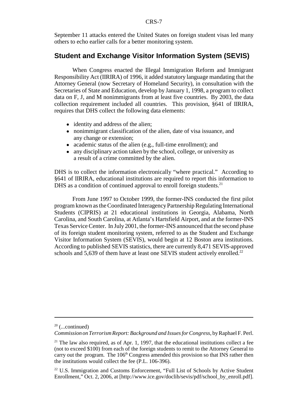September 11 attacks entered the United States on foreign student visas led many others to echo earlier calls for a better monitoring system.

#### **Student and Exchange Visitor Information System (SEVIS)**

When Congress enacted the Illegal Immigration Reform and Immigrant Responsibility Act (IIRIRA) of 1996, it added statutory language mandating that the Attorney General (now Secretary of Homeland Security), in consultation with the Secretaries of State and Education, develop by January 1, 1998, a program to collect data on F, J, and M nonimmigrants from at least five countries. By 2003, the data collection requirement included all countries. This provision, §641 of IIRIRA, requires that DHS collect the following data elements:

- identity and address of the alien;
- nonimmigrant classification of the alien, date of visa issuance, and any change or extension;
- academic status of the alien (e.g., full-time enrollment); and
- any disciplinary action taken by the school, college, or university as a result of a crime committed by the alien.

DHS is to collect the information electronically "where practical." According to §641 of IIRIRA, educational institutions are required to report this information to DHS as a condition of continued approval to enroll foreign students.<sup>21</sup>

From June 1997 to October 1999, the former-INS conducted the first pilot program known as the Coordinated Interagency Partnership Regulating International Students (CIPRIS) at 21 educational institutions in Georgia, Alabama, North Carolina, and South Carolina, at Atlanta's Hartsfield Airport, and at the former-INS Texas Service Center. In July 2001, the former-INS announced that the second phase of its foreign student monitoring system, referred to as the Student and Exchange Visitor Information System (SEVIS), would begin at 12 Boston area institutions. According to published SEVIS statistics, there are currently 8,471 SEVIS-approved schools and  $5,639$  of them have at least one SEVIS student actively enrolled.<sup>22</sup>

 $20$  (...continued)

*Commission on Terrorism Report: Background and Issues for Congress*, by Raphael F. Perl.

 $21$  The law also required, as of Apr. 1, 1997, that the educational institutions collect a fee (not to exceed \$100) from each of the foreign students to remit to the Attorney General to carry out the program. The 106<sup>th</sup> Congress amended this provision so that INS rather then the institutions would collect the fee (P.L. 106-396).

<sup>&</sup>lt;sup>22</sup> U.S. Immigration and Customs Enforcement, "Full List of Schools by Active Student Enrollment," Oct. 2, 2006, at [http://www.ice.gov/doclib/sevis/pdf/school\_by\_enroll.pdf].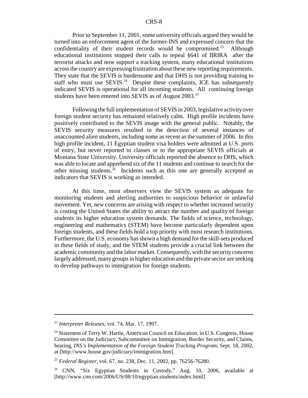Prior to September 11, 2001, some university officials argued they would be turned into an enforcement agent of the former-INS and expressed concern that the confidentiality of their student records would be compromised.<sup>23</sup> Although educational institutions stopped their calls to repeal §641 of IIRIRA after the terrorist attacks and now support a tracking system, many educational institutions across the country are expressing frustration about these new reporting requirements. They state that the SEVIS is burdensome and that DHS is not providing training to staff who must use SEVIS.<sup>24</sup> Despite these complaints, ICE has subsequently indicated SEVIS is operational for all incoming students. All continuing foreign students have been entered into SEVIS as of August 2003.<sup>25</sup>

Following the full implementation of SEVIS in 2003, legislative activity over foreign student security has remained relatively calm. High profile incidents have positively contributed to the SEVIS image with the general public. Notably, the SEVIS security measures resulted in the detection of several instances of unaccounted alien students, including some as recent as the summer of 2006. In this high profile incident, 11 Egyptian student visa holders were admitted at U.S. ports of entry, but never reported to classes or to the appropriate SEVIS officials at Montana State University. University officials reported the absence to DHS, which was able to locate and apprehend six of the 11 students and continue to search for the other missing students.<sup>26</sup> Incidents such as this one are generally accepted as indicators that SEVIS is working as intended.

At this time, most observers view the SEVIS system as adequate for monitoring students and alerting authorities to suspicious behavior or unlawful movement. Yet, new concerns are arising with respect to whether increased security is costing the United States the ability to attract the number and quality of foreign students its higher education system demands. The fields of science, technology, engineering and mathematics (STEM) have become particularly dependent upon foreign students, and these fields hold a top priority with most research institutions. Furthermore, the U.S. economy has shown a high demand for the skill-sets produced in these fields of study, and the STEM students provide a crucial link between the academic community and the labor market. Consequently, with the security concerns largely addressed, many groups in higher education and the private sector are seeking to develop pathways to immigration for foreign students.

<sup>23</sup> *Interpreter Releases*, vol. 74, Mar. 17, 1997.

<sup>&</sup>lt;sup>24</sup> Statement of Terry W. Hartle, American Council on Education, in U.S. Congress, House Committee on the Judiciary, Subcommittee on Immigration, Border Security, and Claims, hearing, *INS's Implementation of the Foreign Student Tracking Program*, Sept. 18, 2002, at [http://www.house.gov/judiciary/immigration.htm].

<sup>25</sup> *Federal Register*, vol. 67, no. 238, Dec. 11, 2002, pp. 76256-76280.

<sup>26</sup> CNN, "Six Egyptian Students in Custody," Aug. 10, 2006, available at [http://www.cnn.com/2006/US/08/10/egyptian.students/index.html]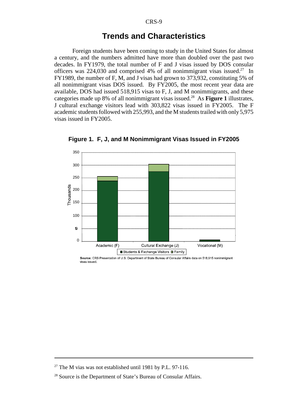# **Trends and Characteristics**

Foreign students have been coming to study in the United States for almost a century, and the numbers admitted have more than doubled over the past two decades. In FY1979, the total number of F and J visas issued by DOS consular officers was  $224,030$  and comprised 4% of all nonimmigrant visas issued.<sup>27</sup> In FY1989, the number of F, M, and J visas had grown to 373,932, constituting 5% of all nonimmigrant visas DOS issued. By FY2005, the most recent year data are available, DOS had issued 518,915 visas to F, J, and M nonimmigrants, and these categories made up 8% of all nonimmigrant visas issued.28 As **Figure 1** illustrates, J cultural exchange visitors lead with 303,822 visas issued in FY2005. The F academic students followed with 255,993, and the M students trailed with only 5,975 visas issued in FY2005.



**Figure 1. F, J, and M Nonimmigrant Visas Issued in FY2005**

Source: CRS Presentation of U.S. Department of State Bureau of Consular Affairs data on 518,915 nonimmigrant visas issued.

 $27$  The M vias was not established until 1981 by P.L. 97-116.

<sup>&</sup>lt;sup>28</sup> Source is the Department of State's Bureau of Consular Affairs.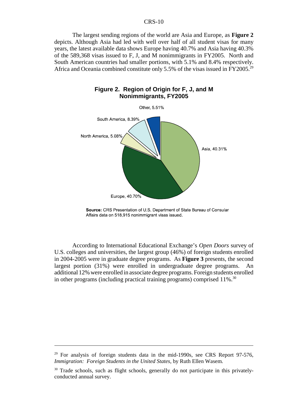#### CRS-10

The largest sending regions of the world are Asia and Europe, as **Figure 2** depicts. Although Asia had led with well over half of all student visas for many years, the latest available data shows Europe having 40.7% and Asia having 40.3% of the 589,368 visas issued to F, J, and M nonimmigrants in FY2005. North and South American countries had smaller portions, with 5.1% and 8.4% respectively. Africa and Oceania combined constitute only 5.5% of the visas issued in FY2005.29



#### **Figure 2. Region of Origin for F, J, and M Nonimmigrants, FY2005**

Source: CRS Presentation of U.S. Department of State Bureau of Consular Affairs data on 518,915 nonimmigrant visas issued.

According to International Educational Exchange's *Open Doors* survey of U.S. colleges and universities, the largest group (46%) of foreign students enrolled in 2004-2005 were in graduate degree programs. As **Figure 3** presents, the second largest portion (31%) were enrolled in undergraduate degree programs. An additional 12% were enrolled in associate degree programs. Foreign students enrolled in other programs (including practical training programs) comprised  $11\%$ <sup>30</sup>

 $29$  For analysis of foreign students data in the mid-1990s, see CRS Report 97-576, *Immigration: Foreign Students in the United States*, by Ruth Ellen Wasem.

<sup>&</sup>lt;sup>30</sup> Trade schools, such as flight schools, generally do not participate in this privatelyconducted annual survey.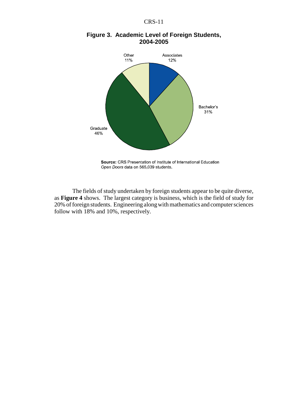

#### **Figure 3. Academic Level of Foreign Students, 2004-2005**

Open Doors data on 565,039 students.

The fields of study undertaken by foreign students appear to be quite diverse, as **Figure 4** shows. The largest category is business, which is the field of study for 20% of foreign students. Engineering along with mathematics and computer sciences follow with 18% and 10%, respectively.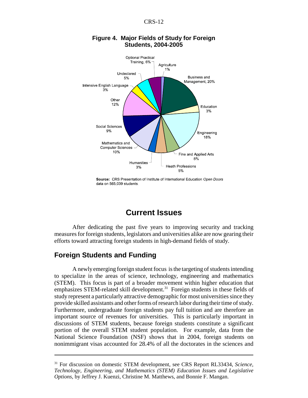

#### **Figure 4. Major Fields of Study for Foreign Students, 2004-2005**

Source: CRS Presentation of Institute of International Education Open Doors data on 565,039 students.

# **Current Issues**

After dedicating the past five years to improving security and tracking measures for foreign students, legislators and universities alike are now gearing their efforts toward attracting foreign students in high-demand fields of study.

### **Foreign Students and Funding**

A newly emerging foreign student focus is the targeting of students intending to specialize in the areas of science, technology, engineering and mathematics (STEM). This focus is part of a broader movement within higher education that emphasizes STEM-related skill development.<sup>31</sup> Foreign students in these fields of study represent a particularly attractive demographic for most universities since they provide skilled assistants and other forms of research labor during their time of study. Furthermore, undergraduate foreign students pay full tuition and are therefore an important source of revenues for universities. This is particularly important in discussions of STEM students, because foreign students constitute a significant portion of the overall STEM student population. For example, data from the National Science Foundation (NSF) shows that in 2004, foreign students on nonimmigrant visas accounted for 28.4% of all the doctorates in the sciences and

<sup>31</sup> For discussion on domestic STEM development, see CRS Report RL33434, *Science, Technology, Engineering, and Mathematics (STEM) Education Issues and Legislative Options,* by Jeffrey J. Kuenzi, Christine M. Matthews, and Bonnie F. Mangan.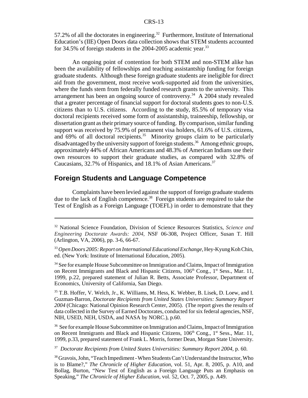57.2% of all the doctorates in engineering.<sup>32</sup> Furthermore, Institute of International Education's (IIE) Open Doors data collection shows that STEM students accounted for 34.5% of foreign students in the 2004-2005 academic year.<sup>33</sup>

An ongoing point of contention for both STEM and non-STEM alike has been the availability of fellowships and teaching assistantship funding for foreign graduate students. Although these foreign graduate students are ineligible for direct aid from the government, most receive work-supported aid from the universities, where the funds stem from federally funded research grants to the university. This arrangement has been an ongoing source of controversy.<sup>34</sup> A 2004 study revealed that a greater percentage of financial support for doctoral students goes to non-U.S. citizens than to U.S. citizens. According to the study, 85.5% of temporary visa doctoral recipients received some form of assistantship, traineeship, fellowship, or dissertation grant as their primary source of funding. By comparison, similar funding support was received by 75.9% of permanent visa holders, 61.6% of U.S. citizens, and 69% of all doctoral recipients.<sup>35</sup> Minority groups claim to be particularly disadvantaged by the university support of foreign students.<sup>36</sup> Among ethnic groups, approximately 44% of African Americans and 48.3% of American Indians use their own resources to support their graduate studies, as compared with 32.8% of Caucasians, 32.7% of Hispanics, and 18.1% of Asian Americans.<sup>37</sup>

#### **Foreign Students and Language Competence**

Complaints have been levied against the support of foreign graduate students due to the lack of English competence.<sup>38</sup> Foreign students are required to take the Test of English as a Foreign Language (TOEFL) in order to demonstrate that they

<sup>34</sup> See for example House Subcommittee on Immigration and Claims, Impact of Immigration on Recent Immigrants and Black and Hispanic Citizens, 106<sup>th</sup> Cong., 1<sup>st</sup> Sess., Mar. 11, 1999, p.22, prepared statement of Julian R. Betts, Associate Professor, Department of Economics, University of California, San Diego.

35 T.B. Hoffer, V. Welch, Jr., K. Williams, M. Hess, K. Webber, B. Lisek, D. Loew, and I. Guzman-Barron, *Doctorate Recipients from United States Universities: Summary Report 2004* (Chicago: National Opinion Research Center, 2005). (The report gives the results of data collected in the Survey of Earned Doctorates, conducted for six federal agencies, NSF, NIH, USED, NEH, USDA, and NASA by NORC.), p.60.

<sup>36</sup> See for example House Subcommittee on Immigration and Claims, Impact of Immigration on Recent Immigrants and Black and Hispanic Citizens,  $106<sup>th</sup>$  Cong.,  $1<sup>st</sup>$  Sess., Mar. 11, 1999, p.33, prepared statement of Frank L. Morris, former Dean, Morgan State University.

37 *Doctorate Recipients from United States Universities: Summary Report 2004*, p. 60.

<sup>38</sup> Gravois, John, "Teach Impediment - When Students Can't Understand the Instructor, Who is to Blame?," *The Chronicle of Higher Education*, vol. 51, Apr. 8, 2005, p. A10, and Bollag, Burton, "New Test of English as a Foreign Language Puts an Emphasis on Speaking," *The Chronicle of Higher Education*, vol. 52, Oct. 7, 2005, p. A49.

<sup>32</sup> National Science Foundation, Division of Science Resources Statistics, *Science and Engineering Doctorate Awards: 2004*, NSF 06-308, Project Officer, Susan T. Hill (Arlington, VA, 2006), pp. 3-6, 66-67.

<sup>33</sup> *Open Doors 2005: Report on International Educational Exchange*, Hey-Kyung Koh Chin, ed. (New York: Institute of International Education, 2005).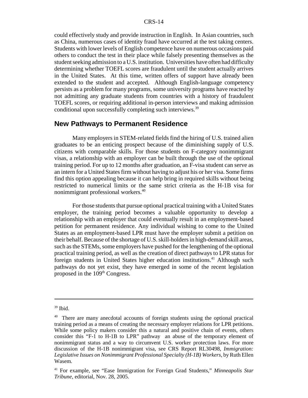could effectively study and provide instruction in English. In Asian countries, such as China, numerous cases of identity fraud have occurred at the test taking centers. Students with lower levels of English competence have on numerous occasions paid others to conduct the test in their place while falsely presenting themselves as the student seeking admission to a U.S. institution. Universities have often had difficulty determining whether TOEFL scores are fraudulent until the student actually arrives in the United States. At this time, written offers of support have already been extended to the student and accepted. Although English-language competency persists as a problem for many programs, some university programs have reacted by not admitting any graduate students from countries with a history of fraudulent TOEFL scores, or requiring additional in-person interviews and making admission conditional upon successfully completing such interviews.<sup>39</sup>

#### **New Pathways to Permanent Residence**

Many employers in STEM-related fields find the hiring of U.S. trained alien graduates to be an enticing prospect because of the diminishing supply of U.S. citizens with comparable skills. For those students on F-category nonimmigrant visas, a relationship with an employer can be built through the use of the optional training period. For up to 12 months after graduation, an F-visa student can serve as an intern for a United States firm without having to adjust his or her visa. Some firms find this option appealing because it can help bring in required skills without being restricted to numerical limits or the same strict criteria as the H-1B visa for nonimmigrant professional workers.<sup>40</sup>

For those students that pursue optional practical training with a United States employer, the training period becomes a valuable opportunity to develop a relationship with an employer that could eventually result in an employment-based petition for permanent residence. Any individual wishing to come to the United States as an employment-based LPR must have the employer submit a petition on their behalf. Because of the shortage of U.S. skill-holders in high-demand skill areas, such as the STEMs, some employers have pushed for the lengthening of the optional practical training period, as well as the creation of direct pathways to LPR status for foreign students in United States higher education institutions.<sup>41</sup> Although such pathways do not yet exist, they have emerged in some of the recent legislation proposed in the 109<sup>th</sup> Congress.

 $39$  Ibid.

<sup>&</sup>lt;sup>40</sup> There are many anecdotal accounts of foreign students using the optional practical training period as a means of creating the necessary employer relations for LPR petitions. While some policy makers consider this a natural and positive chain of events, others consider this "F-1 to H-1B to LPR" pathway an abuse of the temporary element of nonimmigrant status and a way to circumvent U.S. worker protection laws. For more discussion of the H-1B nonimmigrant visa, see CRS Report RL30498, *Immigration: Legislative Issues on Nonimmigrant Professional Specialty (H-1B) Workers*, by Ruth Ellen Wasem.

<sup>41</sup> For example, see "Ease Immigration for Foreign Grad Students," *Minneapolis Star Tribune*, editorial, Nov. 28, 2005.